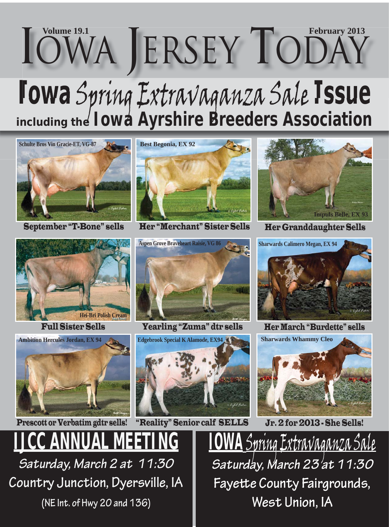# **Iowa** Spring Extravaganza Sale **Issue** *including the Iowa Ayrshire Breeders Association*  $I$ OWA JERSEY TODAY



September "T-Bone" sells







**IJCC ANNUAL MEETING** *Saturday, March 2 at 11:30*  **Country Junction, Dyersville, IA (NE Int. of Hwy 20 and 136)**



Her "Merchant" Sister Sells



Full Sister Sells Her March "Burdette" sells Yearling "Zuma" dtr sells





Her Granddaughter Sells





<u>Spring Extravaganza Sale</u> *Saturday, March 23 at 11:30* Fayette County Fairgrounds, **West Union, IA**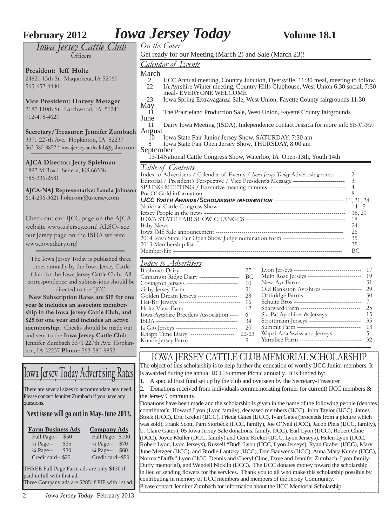## **February 2012** *Iowa Jersey Today* **Volume 18.1**

*Iowa Jersey Cattle Club* **Officers** 

**President: Jeff Holtz** 24821 13th St. Maquoketa, IA 52060 563-652-4480

#### **Vice President: Harvey Metzger** 2187 110th St. Larchwood, IA 51241

712-478-4627

**Secretary/Treasurer: Jennifer Zumbach** 3371 227th Ave. Hopkinton, IA 52237 563-580-8852 \* iowajerseycattleclub@yahoo.com

**AJCA Director: Jerry Spielman** 1892 M Road Seneca, KS 66538 785-336-2581

**AJCA-NAJ Representative: Londa Johnson** 614-296-3621 ljohnson@usjersey.com

Check out our IJCC page on the AJCA website www.usjersey.com! ALSO- see our Jersey page on the ISDA website www.iowadairy.org!

The Iowa Jersey Today is published three times annually by the Iowa Jersey Cattle Club for the Iowa Jersey Cattle Club. All correspondence and submissions should be directed to the IJCC.

 **New Subscription Rates are \$15 for one year & includes an associate membership in the Iowa Jersey Cattle Club, and \$25 for one year and includes an active membership.** Checks should be made out and sent to the **Iowa Jersey Cattle Club** Jennifer Zumbach 3371 227th Ave. Hopkinton, IA 52237 **Phone**: 563-580-8852

## Iowa Jersey Today Advertising Rates

There are several sizes to accommodate any need. Please contact Jennifer Zumbach if you have any questions.

#### **Next issue will go out in May-June 2013.**

| <b>Farm Business Ads</b> |      | <b>Company Ads</b>   |      |
|--------------------------|------|----------------------|------|
| Full Page--              | \$50 | Full Page-\$100      |      |
| $\frac{1}{2}$ Page--     | \$35 | $\frac{1}{2}$ Page-- | \$70 |
| $\frac{1}{4}$ Page--     | \$30 | $\frac{1}{4}$ Page-- | \$60 |
| Credit card--\$25        |      | Credit card--\$50    |      |

THREE Full Page Farm ads are only \$130 if paid in full with first ad. Three Company ads are \$285 if PIF with 1st ad.

2 *Iowa Jersey Today*- February 2013

|                                                                                                 | w o chocy rouwy                                          |                                                                                                 | <b>URBIT TO'T</b>                                                                                                                                                      |  |  |  |  |
|-------------------------------------------------------------------------------------------------|----------------------------------------------------------|-------------------------------------------------------------------------------------------------|------------------------------------------------------------------------------------------------------------------------------------------------------------------------|--|--|--|--|
| On the Cover                                                                                    |                                                          |                                                                                                 |                                                                                                                                                                        |  |  |  |  |
|                                                                                                 | Get ready for our Meeting (March 2) and Sale (March 23)! |                                                                                                 |                                                                                                                                                                        |  |  |  |  |
|                                                                                                 | <b>Calendar of Events</b>                                |                                                                                                 |                                                                                                                                                                        |  |  |  |  |
| March                                                                                           |                                                          |                                                                                                 |                                                                                                                                                                        |  |  |  |  |
| 2<br>22                                                                                         | meal- EVERYONE WELCOME                                   |                                                                                                 | IJCC Annual meeting, Country Junction, Dyersville, 11:30 meal, meeting to follow.<br>IA Ayrshire Winter meeting, Country Hills Clubhouse, West Union 6:30 social, 7:30 |  |  |  |  |
| 23                                                                                              |                                                          |                                                                                                 | Iowa Spring Extravaganza Sale, West Union, Fayette County fairgrounds 11:30                                                                                            |  |  |  |  |
| May                                                                                             |                                                          |                                                                                                 |                                                                                                                                                                        |  |  |  |  |
| 11<br>June                                                                                      |                                                          |                                                                                                 | The Prairieland Production Sale, West Union, Fayette County fairgrounds                                                                                                |  |  |  |  |
| 11                                                                                              |                                                          |                                                                                                 | Dairy Iowa Meeting (ISDA), Independence contact Jessica for more info 515-971-3620                                                                                     |  |  |  |  |
| August                                                                                          |                                                          |                                                                                                 |                                                                                                                                                                        |  |  |  |  |
| 10                                                                                              | Iowa State Fair Junior Jersey Show, SATURDAY, 7:30 am    |                                                                                                 |                                                                                                                                                                        |  |  |  |  |
| 8                                                                                               | Iowa State Fair Open Jersey Show, THURSDAY, 8:00 am      |                                                                                                 |                                                                                                                                                                        |  |  |  |  |
| September                                                                                       |                                                          |                                                                                                 |                                                                                                                                                                        |  |  |  |  |
|                                                                                                 |                                                          |                                                                                                 | 13-14National Cattle Congress Show, Waterloo, IA Open-13th, Youth 14th                                                                                                 |  |  |  |  |
|                                                                                                 | <u>Table of Contents</u>                                 |                                                                                                 |                                                                                                                                                                        |  |  |  |  |
|                                                                                                 |                                                          |                                                                                                 | Index to Advertisers / Calendar of Events / Iowa Jersey Today Advertising rates ------ 2                                                                               |  |  |  |  |
|                                                                                                 |                                                          |                                                                                                 | 3                                                                                                                                                                      |  |  |  |  |
|                                                                                                 |                                                          |                                                                                                 | $\overline{4}$                                                                                                                                                         |  |  |  |  |
|                                                                                                 |                                                          |                                                                                                 | 8                                                                                                                                                                      |  |  |  |  |
|                                                                                                 |                                                          |                                                                                                 |                                                                                                                                                                        |  |  |  |  |
| $14 - 15$                                                                                       |                                                          |                                                                                                 |                                                                                                                                                                        |  |  |  |  |
| 18, 20                                                                                          |                                                          |                                                                                                 |                                                                                                                                                                        |  |  |  |  |
| 18                                                                                              |                                                          |                                                                                                 |                                                                                                                                                                        |  |  |  |  |
| 24                                                                                              |                                                          |                                                                                                 |                                                                                                                                                                        |  |  |  |  |
| 26<br>2014 Iowa State Fair Open Show Judge nomination form --------------------------------     |                                                          |                                                                                                 |                                                                                                                                                                        |  |  |  |  |
|                                                                                                 |                                                          |                                                                                                 | 35                                                                                                                                                                     |  |  |  |  |
|                                                                                                 |                                                          |                                                                                                 | 35                                                                                                                                                                     |  |  |  |  |
|                                                                                                 |                                                          |                                                                                                 | BC                                                                                                                                                                     |  |  |  |  |
|                                                                                                 | <u>Index to Advertisers</u>                              |                                                                                                 |                                                                                                                                                                        |  |  |  |  |
|                                                                                                 | Bushman Dairy ----------------------------- 27           |                                                                                                 |                                                                                                                                                                        |  |  |  |  |
| Multi Rose Jerseys ----------------------------<br>Cinnamon Ridge Dairy -------------------- BC |                                                          |                                                                                                 |                                                                                                                                                                        |  |  |  |  |
|                                                                                                 | Covington Jerseys --------------------------             | 10                                                                                              | New-Ayr Farm ------------------------------ 31                                                                                                                         |  |  |  |  |
|                                                                                                 | Gaby Jersey Farm --------------------------              | 31                                                                                              | Old Bankston Ayrshires --------------------<br>29<br>30                                                                                                                |  |  |  |  |
|                                                                                                 |                                                          | Orthridge Farms ----------------------------<br>Golden Dream Jerseys --------------------<br>28 |                                                                                                                                                                        |  |  |  |  |

| Golden Dream Jerseys --------------------            | 28        | Orthridge Parilis ----------------------------- | .7U |
|------------------------------------------------------|-----------|-------------------------------------------------|-----|
| Hei-Bri Jerseys --------------------------------- 16 |           |                                                 |     |
| Holtz View Farm ---------------------------          | 12        | Sharward Farm -------------------------------   | 25  |
| Iowa Ayrshire Breeders Association ---- 6            |           | Ski Pal Ayrshires & Jerseys ----------------    | 15  |
|                                                      | 34        | Strottmann Jerseys ---------------------------  | 35  |
| Ja Glo Jerseys ---------------------------------     | 20        | Summit Farm -------------------------------     | 13  |
| Knapp Time Dairy ----------------------              | $22 - 23$ | Wapsi-Ana Swiss and Jerseys -------------- 5    |     |
| Kunde Jersey Farm ---------------------------- 9     |           | Yarrabee Farm --------------------------------  | 32  |
|                                                      |           |                                                 |     |

#### IOWA JERSEY CATTLE CLUB MEMORIAL SCHOLARSHIP

The object of this scholarship is to help further the education of worthy IJCC Junior members. It is awarded during the annual IJCC Summer Picnic annually. It is funded by:

1. A special trust fund set up by the club and overseen by the Secretary-Treasurer

2. Donations received from individuals commemorating former (or current) IJCC members  $\&$ the Jersey Community.

Donations have been made and the scholarship is given in the name of the following people (denotes contributor): Howard Lyon (Lyon family), deceased members (IJCC), John Taylor (IJCC), James Stock (IJCC), Eric Krekel (IJCC), Frieda Gates (IJCC), Ivan Gates (proceeds from a picture which was sold), Frank Scott, Pam Storbeck (IJCC, family), Joe O'Neil (IJCC), Jacob Pleis (IJCC, family), L. Claire Gates ('05 Iowa Jersey Sale donations, family, IJCC), Earl Lyon (IJCC), Robert Cline (IJCC), Joyce Muller (IJCC, family) and Gene Krekel (IJCC, Lyon Jerseys), Helen Lyon (IJCC, Robert Lyon, Lyon Jerseys), Russell "Bud" Lyon (IJCC, Lyon Jerseys), Ryan Graber (IJCC), Mary June Metzger (IJCC), and Brodie Lantzky (IJCC), Don Bauwens (IJCC), Anna Mary Kunde (IJCC), Norma "Duffy" Lyon (IJCC, Dennis and Cheryl Cline, Dave and Jennifer Zumbach, Lyon family-Duffy memorial), and Wendell Nicklin (IJCC). The IJCC donates money toward the scholarship in lieu of sending flowers for the services. Thank you to all who make this scholarship possible by contributing in memory of IJCC members and members of the Jersey Community. Please contact Jennifer Zumbach for information about the IJCC Memorial Scholarship.

*<u>On</u>* 

#### *Calendar of Events*

- meal- EVERYONE WELCOME
	- Ma
	- 11 The Prairieland Production Sale, West Union, Fayette County fairgrounds **Jun**
	- 11 Dairy Iowa Meeting (ISDA), Independence contact Jessica for more info 515-971-3620 Au
	- 10 Iowa State Fair Junior Jersey Show, SATURDAY, 7:30 am
	- 8 Iowa State Fair Open Jersey Show, THURSDAY, 8:00 am
	- Sep

### $\frac{Ta}{Ind}$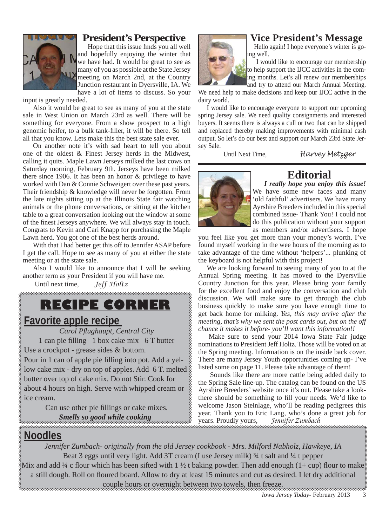

#### **President's Perspective**

Hope that this issue finds you all well and hopefully enjoying the winter that we have had. It would be great to see as many of you as possible at the State Jersey meeting on March 2nd, at the Country Junction restaurant in Dyersville, IA. We have a lot of items to discuss. So your

input is greatly needed.

Also it would be great to see as many of you at the state sale in West Union on March 23rd as well. There will be something for everyone. From a show prospect to a high genomic heifer, to a bulk tank-filler, it will be there. So tell all that you know. Lets make this the best state sale ever.

On another note it's with sad heart to tell you about one of the oldest & Finest Jersey herds in the Midwest, calling it quits. Maple Lawn Jerseys milked the last cows on Saturday morning, February 9th. Jerseys have been milked there since 1906. It has been an honor & privilege to have worked with Dan & Connie Schweigert over these past years. Their friendship & knowledge will never be forgotten. From the late nights sitting up at the Illinois State fair watching animals or the phone conversations, or sitting at the kitchen table to a great conversation looking out the window at some of the finest Jerseys anywhere. We will always stay in touch. Congrats to Kevin and Cari Knapp for purchasing the Maple Lawn herd. You got one of the best herds around.

With that I had better get this off to Jennifer ASAP before I get the call. Hope to see as many of you at either the state meeting or at the state sale.

Also I would like to announce that I will be seeking another term as your President if you will have me.

Until next time, *Jeff Holtz*

## **RECIPE CORNER**

#### **Favorite apple recipe**

*Carol Pfl ughaupt, Central City*

1 can pie filling 1 box cake mix 6 T butter

Use a crockpot - grease sides & bottom.

Pour in 1 can of apple pie filling into pot. Add a yellow cake mix - dry on top of apples. Add 6 T. melted butter over top of cake mix. Do not Stir. Cook for about 4 hours on high. Serve with whipped cream or ice cream.

> Can use other pie fillings or cake mixes. *Smells so good while cooking*



#### **Vice President's Message**

Hello again! I hope everyone's winter is going well.

 I would like to encourage our membership to help support the IJCC activities in the coming months. Let's all renew our memberships and try to attend our March Annual Meeting.

We need help to make decisions and keep our IJCC active in the dairy world.

 I would like to encourage everyone to support our upcoming spring Jersey sale. We need quality consignments and interested buyers. It seems there is always a cull or two that can be shipped and replaced thereby making improvements with minimal cash output. So let's do our best and support our March 23rd State Jersey Sale.

Until Next Time, *Harvey Metzger*



#### **Editorial**

 *I really hope you enjoy this issue!* We have some new faces and many 'old faithful' advertisers. We have many Ayrshire Breeders included in this special combined issue- Thank You! I could not do this publication without your support as members and/or advertisers. I hope

you feel like you get more than your money's worth. I've found myself working in the wee hours of the morning as to take advantage of the time without 'helpers'... plunking of the keyboard is not helpful with this project!

 We are looking forward to seeing many of you to at the Annual Spring meeting. It has moved to the Dyersville Country Junction for this year. Please bring your family for the excellent food and enjoy the conversation and club discussion. We will make sure to get through the club business quickly to make sure you have enough time to get back home for milking. *Yes, this may arrive after the meeting, that's why we sent the post cards out, but on the off chance it makes it before- you'll want this information!!*

 Make sure to send your 2014 Iowa State Fair judge nominations to President Jeff Holtz. Those will be voted on at the Spring meeting. Information is on the inside back cover. There are many Jersey Youth opportunities coming up- I've listed some on page 11. Please take advantage of them!

 Sounds like there are more cattle being added daily to the Spring Sale line-up. The catalog can be found on the US Ayrshire Breeders' website once it's out. Please take a lookthere should be something to fill your needs. We'd like to welcome Jason Steinlage, who'll be reading pedigrees this year. Thank you to Eric Lang, who's done a great job for years. Proudly yours, *Jennifer Zumbach*

### **Noodles**

*Jennifer Zumbach- originally from the old Jersey cookbook - Mrs. Milford Nabholz, Hawkeye, IA* Beat 3 eggs until very light. Add 3T cream (I use Jersey milk) 3/4 t salt and 1/4 t pepper Mix and add ¼ c flour which has been sifted with 1 ½ t baking powder. Then add enough (1+ cup) flour to make $\frac{1}{2}$ a still dough. Roll on floured board. Allow to dry at least 15 minutes and cut as desired. I let dry additional

couple hours or overnight between two towels, then freeze.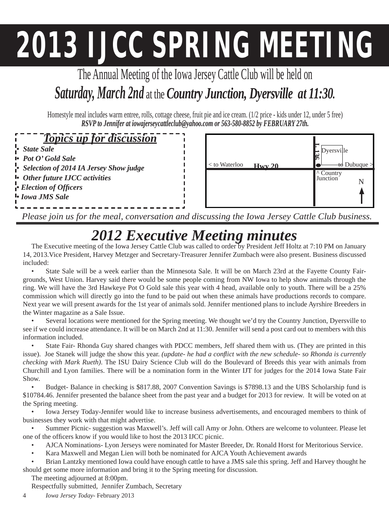# **2013 IJCC SPRING MEETING**

The Annual Meeting of the Iowa Jersey Cattle Club will be held on *Saturday, March 2nd* at the *Country Junction, Dyersville at 11:30.* 

Homestyle meal includes warm entree, rolls, cottage cheese, fruit pie and ice cream. (1/2 price - kids under 12, under 5 free) *RSVP to Jennifer at iowajerseycattleclub@yahoo.com or 563-580-8852 by FEBRUARY 27th.*

### *Topics up for discussion*

- *State Sale*
- *Pot O' Gold Sale*
- *Selection of 2014 IA Jersey Show judge*
- *Other future IJCC activities*
- *Election of Offi cers*
- *Iowa JMS Sale*



*Please join us for the meal, conversation and discussing the Iowa Jersey Cattle Club business.*

## *2012 Executive Meeting minutes*

The Executive meeting of the Iowa Jersey Cattle Club was called to order by President Jeff Holtz at 7:10 PM on January 14, 2013.Vice President, Harvey Metzger and Secretary-Treasurer Jennifer Zumbach were also present. Business discussed included:

• State Sale will be a week earlier than the Minnesota Sale. It will be on March 23rd at the Fayette County Fairgrounds, West Union. Harvey said there would be some people coming from NW Iowa to help show animals through the ring. We will have the 3rd Hawkeye Pot O Gold sale this year with 4 head, available only to youth. There will be a 25% commission which will directly go into the fund to be paid out when these animals have productions records to compare. Next year we will present awards for the 1st year of animals sold. Jennifer mentioned plans to include Ayrshire Breeders in the Winter magazine as a Sale Issue.

• Several locations were mentioned for the Spring meeting. We thought we'd try the Country Junction, Dyersville to see if we could increase attendance. It will be on March 2nd at 11:30. Jennifer will send a post card out to members with this information included.

• State Fair- Rhonda Guy shared changes with PDCC members, Jeff shared them with us. (They are printed in this issue). Joe Stanek will judge the show this year. *(update- he had a conflict with the new schedule- so Rhonda is currently checking with Mark Rueth)*. The ISU Dairy Science Club will do the Boulevard of Breeds this year with animals from Churchill and Lyon families. There will be a nomination form in the Winter IJT for judges for the 2014 Iowa State Fair Show.

• Budget- Balance in checking is \$817.88, 2007 Convention Savings is \$7898.13 and the UBS Scholarship fund is \$10784.46. Jennifer presented the balance sheet from the past year and a budget for 2013 for review. It will be voted on at the Spring meeting.

• Iowa Jersey Today-Jennifer would like to increase business advertisements, and encouraged members to think of businesses they work with that might advertise.

• Summer Picnic- suggestion was Maxwell's. Jeff will call Amy or John. Others are welcome to volunteer. Please let one of the officers know if you would like to host the 2013 IJCC picnic.

- AJCA Nominations- Lyon Jerseys were nominated for Master Breeder, Dr. Ronald Horst for Meritorious Service.
- Kara Maxwell and Megan Lien will both be nominated for AJCA Youth Achievement awards
- Brian Lantzky mentioned Iowa could have enough cattle to have a JMS sale this spring. Jeff and Harvey thought he should get some more information and bring it to the Spring meeting for discussion.

The meeting adjourned at 8:00pm.

Respectfully submitted, Jennifer Zumbach, Secretary

4 *Iowa Jersey Today*- February 2013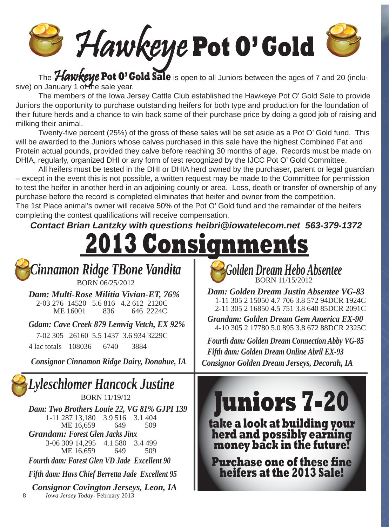Hawkeye **Pot O' Gold**

The **Hawkeye Pot 0' Gold Sale** is open to all Juniors between the ages of 7 and 20 (inclusive) on January 1 of the sale year.

 The members of the Iowa Jersey Cattle Club established the Hawkeye Pot O' Gold Sale to provide Juniors the opportunity to purchase outstanding heifers for both type and production for the foundation of their future herds and a chance to win back some of their purchase price by doing a good job of raising and milking their animal.

Twenty-five percent (25%) of the gross of these sales will be set aside as a Pot O' Gold fund. This will be awarded to the Juniors whose calves purchased in this sale have the highest Combined Fat and Protein actual pounds, provided they calve before reaching 30 months of age. Records must be made on DHIA, regularly, organized DHI or any form of test recognized by the IJCC Pot O' Gold Committee.

 All heifers must be tested in the DHI or DHIA herd owned by the purchaser, parent or legal guardian – except in the event this is not possible, a written request may be made to the Committee for permission to test the heifer in another herd in an adjoining county or area. Loss, death or transfer of ownership of any purchase before the record is completed eliminates that heifer and owner from the competition. The 1st Place animal's owner will receive 50% of the Pot O' Gold fund and the remainder of the heifers completing the contest qualifications will receive compensation.

*Contact Brian Lantzky with questions heibri@iowatelecom.net 563-379-1372* 

8 *Iowa Jersey Today*- February 2013 *Cinnamon Ridge TBone Vandita* BORN 06/25/2012 *Dam: Multi-Rose Militia Vivian-ET, 76%*  2-03 276 14520 5.6 816 4.2 612 2120C ME 16001 836 646 2224C *Gdam: Cave Creek 879 Lemvig Vetch, EX 92%*  7-02 305 26160 5.5 1437 3.6 934 3229C 4 lac totals 108036 6740 3884 *Consignor Cinnamon Ridge Dairy, Donahue, IA Lyleschlomer Hancock Justine*  BORN 11/19/12 *Dam: Two Brothers Louie 22, VG 81% GJPI 139* 1-11 287 13,180 3.9 516 3.1 404<br>ME 16.659 649 509 ME 16,659 649 *Grandam: Forest Glen Jacks Jinx*  3-06 309 14,295 4.1 580 3.4 499 ME 16,659 649 509 *Fourth dam: Forest Glen VD Jade Excellent 90 Fifth dam: Havs Chief Berretta Jade Excellent 95 Consignor Covington Jerseys, Leon, IA*  **2013 Consignments** *Golden Dream Hebo Absentee*  BORN 11/15/2012 *Dam: Golden Dream Justin Absentee VG-83* 1-11 305 2 15050 4.7 706 3.8 572 94DCR 1924C 2-11 305 2 16850 4.5 751 3.8 640 85DCR 2091C *Grandam: Golden Dream Gem America EX-90*  4-10 305 2 17780 5.0 895 3.8 672 88DCR 2325C *Fourth dam: Golden Dream Connection Abby VG-85 Fifth dam: Golden Dream Online Abril EX-93 Consignor Golden Dream Jerseys, Decorah, IA* **Juniors 7-20 take a look at building your herd and possibly earning money back in the future! Purchase one of these fine heifers at the 2013 Sale!**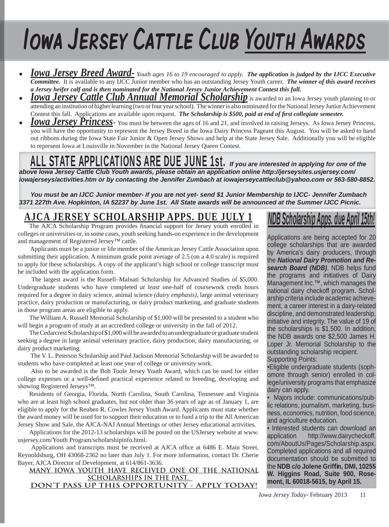# Iowa Jersey Cattle Club Youth Awards

- *Iowa Jersey Breed Award- Youth ages 16 to 19 encouraged to apply. The application is judged by the IJCC Executive Committee.* It is available to any IJCC Junior member who has an outstanding Jersey Youth career. *The winner of this award receives a Jersey heifer calf and is then nominated for the National Jersey Junior Achievement Contest this fall.*
- *Iowa Jersey Cattle Club Annual Memorial Scholarship* is awarded to an Iowa Jersey youth planning to or attending an institution of higher learning (two or four year school). The winner is also nominated for the National Jersey Junior Achievement Contest this fall. Applications are available upon request. *The Scholarship is \$500, paid at end of first collegiate semester.*
- **Iowa Jersey Princess** You must be between the ages of 16 and 21, and involved in raising Jerseys. As Iowa Jersey Princess, you will have the opportunity to represent the Jersey Breed in the Iowa Dairy Princess Pageant this August. You will be asked to hand out ribbons during the Iowa State Fair Junior & Open Jersey Shows and help at the State Jersey Sale. Additionally you will be eligible to represent Iowa at Louisville in November in the National Jersey Queen Contest.

## ALL STATE APPLICATIONS ARE DUE JUNE 1st. *If you are interested in applying for one of the*

*above Iowa Jersey Cattle Club Youth awards, please obtain an application online http://jerseysites.usjersey.com/ iowajerseys/activities.htm or by contacting the Jennifer Zumbach at iowajerseycattleclub@yahoo.com or 563-580-8852.* 

*You must be an IJCC Junior member- if you are not yet- send \$1 Junior Membership to IJCC- Jennifer Zumbach 3371 227th Ave. Hopkinton, IA 52237 by June 1st. All State awards will be announced at the Summer IJCC Picnic.*

### **AJCA JERSEY SCHOLARSHIP APPS. DUE JULY 1**

The AJCA Scholarship Program provides financial support for Jersey youth enrolled in colleges or universities or, in some cases, youth seeking hands-on experience in the development and management of Registered Jersey™ cattle.

 Applicants must be a junior or life member of the American Jersey Cattle Association upon submitting their application. A minimum grade point average of 2.5 (on a 4.0 scale) is required to apply for these scholarships. A copy of the applicant's high school or college transcript must be included with the application form.

 The largest award is the Russell–Malnati Scholarship for Advanced Studies of \$5,000. Undergraduate students who have completed *at least* one-half of coursework credit hours required for a degree in dairy science, animal science *(dairy emphasis)*, large animal veterinary practice, dairy production or manufacturing, or dairy product marketing, and graduate students in those program areas are eligible to apply.

The William A. Russell Memorial Scholarship of \$1,000 will be presented to a student who will begin a program of study at an accredited college or university in the fall of 2012.

The Cedarcrest Scholarship of \$1,000 will be awarded to an undergraduate or graduate student seeking a degree in large animal veterinary practice, dairy production, dairy manufacturing, or dairy product marketing.

 The V. L. Peterson Scholarship and Paul Jackson Memorial Scholarship will be awarded to students who have completed at least one year of college or university work.

 Also to be awarded is the Bob Toole Jersey Youth Award, which can be used for either college expenses or a well-defined practical experience related to breeding, developing and showing Registered Jerseys™.

Residents of Georgia, Florida, North Carolina, South Carolina, Tennessee and Virginia who are at least high school graduates, but not older than 36 years of age as of January 1, are eligible to apply for the Reuben R. Cowles Jersey Youth Award. Applicants must state whether the award money will be used for to support their education or to fund a trip to the All American Jersey Show and Sale, the AJCA-NAJ Annual Meetings or other Jersey educational activities.

Applications for the 2012-13 scholarships will be posted on the USJersey website at www. usjersey.com/Youth Program/scholarshipinfo.html.

Applications and transcripts must be received at AJCA office at 6486 E. Main Street, Reynoldsburg, OH 43068-2362 no later than July 1. For more information, contact Dr. Cherie Bayer, AJCA Director of Development, at 614/861-3636.

**MANY IOWA YOUTH HAVE RECEIVED ONE OF THE NATIONAL SCHOLARSHIPS IN THE PAST. DON'T PASS UP THIS OPPORTUNITY - APPLY TODAY!**

## *NDB Scholarship Apps. due April 15th!*

Applications are being accepted for 20 college scholarships that are awarded by America's dairy producers, through the *National Dairy Promotion and Research Board (NDB)*. NDB helps fund the programs and initiatives of Dairy Management Inc.<sup>™</sup>, which manages the national dairy checkoff program. Scholarship criteria include academic achievement, a career interest in a dairy-related discipline, and demonstrated leadership, initiative and integrity. The value of 19 of the scholarships is \$1,500. In addition, the NDB awards one \$2,500 James H. Loper Jr. Memorial Scholarship to the outstanding scholarship recipient. Supporting Points:

•Eligible undergraduate students (sophomore through senior) enrolled in college/university programs that emphasize dairy can apply.

• Majors include: communications/public relations, journalism, marketing, business, economics, nutrition, food science, and agriculture education.

• Interested students can download an application http://www.dairycheckoff. com/AboutUs/Pages/Scholarship.aspx. Completed applications and all required documentation should be submitted to the **NDB c/o Jolene Griffi n, DMI, 10255 W. Higgins Road, Suite 900, Rosemont, IL 60018-5615, by April 15.**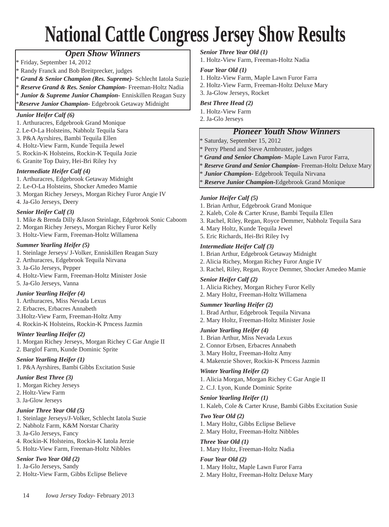## **National Cattle Congress Jersey Show Results**

#### *Open Show Winners*

\* Friday, September 14, 2012

- Randy Franck and Bob Breitprecker, judges
- \* *Grand & Senior Champion (Res. Supreme)-* Schlecht Iatola Suzie
- \* *Reserve Grand & Res. Senior Champion-* Freeman-Holtz Nadia
- \* *Junior & Supreme Junior Champion-* Enniskillen Reagan Suzy

\**Reserve Junior Champion-* Edgebrook Getaway Midnight

#### *Junior Heifer Calf (6)*

- 1. Arthuracres, Edgebrook Grand Monique
- 2. Le-O-La Holsteins, Nabholz Tequila Sara
- 3. P&A Ayrshires, Bambi Tequila Ellen
- 4. Holtz-View Farm, Kunde Tequila Jewel
- 5. Rockin-K Holsteins, Rockin-K Tequila Jozie
- 6. Granite Top Dairy, Hei-Bri Riley Ivy

#### *Intermediate Heifer Calf (4)*

- 1. Arthuracres, Edgebrook Getaway Midnight
- 2. Le-O-La Holsteins, Shocker Amedeo Mamie
- 3. Morgan Richey Jerseys, Morgan Richey Furor Angie IV
- 4. Ja-Glo Jerseys, Deery

#### *Senior Heifer Calf (3)*

- 1. Mike & Brenda Dilly &Jason Steinlage, Edgebrook Sonic Caboom
- 2. Morgan Richey Jerseys, Morgan Richey Furor Kelly
- 3. Holtz-View Farm, Freeman-Holtz Willamena

#### *Summer Yearling Heifer (5)*

- 1. Steinlage Jerseys/ J-Volker, Enniskillen Reagan Suzy
- 2. Arthuracres, Edgebrook Tequila Nirvana
- 3. Ja-Glo Jerseys, Pepper
- 4. Holtz-View Farm, Freeman-Holtz Minister Josie
- 5. Ja-Glo Jerseys, Vanna

#### *Junior Yearling Heifer (4)*

- 1. Arthuracres, Miss Nevada Lexus
- 2. Erbacres, Erbacres Annabeth
- 3.Holtz-View Farm, Freeman-Holtz Amy
- 4. Rockin-K Holsteins, Rockin-K Prncess Jazmin

#### *Winter Yearling Heifer (2)*

- 1. Morgan Richey Jerseys, Morgan Richey C Gar Angie II
- 2. Barglof Farm, Kunde Dominic Sprite

#### *Senior Yearling Heifer (1)* 1. P&A Ayrshires, Bambi Gibbs Excitation Susie

#### *Junior Best Three (3)*

- 1. Morgan Richey Jerseys
- 2. Holtz-View Farm
- 3. Ja-Glow Jerseys

#### *Junior Three Year Old (5)*

- 1. Steinlage Jerseys/J-Volker, Schlecht Iatola Suzie
- 2. Nabholz Farm, K&M Norstar Charity
- 3. Ja-Glo Jerseys, Fancy
- 4. Rockin-K Holsteins, Rockin-K Iatola Jerzie
- 5. Holtz-View Farm, Freeman-Holtz Nibbles

#### *Senior Two Year Old (2)*

- 1. Ja-Glo Jerseys, Sandy
- 2. Holtz-View Farm, Gibbs Eclipse Believe

14 *Iowa Jersey Today*- February 2013

#### *Senior Three Year Old (1)*

1. Holtz-View Farm, Freeman-Holtz Nadia

#### *Four Year Old (1)*

- 1. Holtz-View Farm, Maple Lawn Furor Farra
- 2. Holtz-View Farm, Freeman-Holtz Deluxe Mary
- 3. Ja-Glow Jerseys, Rocket

#### *Best Three Head (2)*

- 1. Holtz-View Farm
- 2. Ja-Glo Jerseys

#### *Pioneer Youth Show Winners*

Saturday, September 15, 2012

- \* Perry Phend and Steve Armbruster, judges
- \* *Grand and Senior Champion-* Maple Lawn Furor Farra,
- \* *Reserve Grand and Senior Champion-* Freeman-Holtz Deluxe Mary
- Junior Champion- Edgebrook Tequila Nirvana
- \* *Reserve Junior Champion-*Edgebrook Grand Monique

#### *Junior Heifer Calf (5)*

- 1. Brian Arthur, Edgebrook Grand Monique
- 2. Kaleb, Cole & Carter Kruse, Bambi Tequila Ellen
- 3. Rachel, Riley, Regan, Royce Demmer, Nabholz Tequila Sara
- 4. Mary Holtz, Kunde Tequila Jewel
- 5. Eric Richards, Hei-Bri Riley Ivy

#### *Intermediate Heifer Calf (3)*

- 1. Brian Arthur, Edgebrook Getaway Midnight
- 2. Alicia Richey, Morgan Richey Furor Angie IV
- 3. Rachel, Riley, Regan, Royce Demmer, Shocker Amedeo Mamie

#### *Senior Heifer Calf (2)*

- 1. Alicia Richey, Morgan Richey Furor Kelly
- 2. Mary Holtz, Freeman-Holtz Willamena

#### *Summer Yearling Heifer (2)*

- 1. Brad Arthur, Edgebrook Tequila Nirvana
- 2. Mary Holtz, Freeman-Holtz Minister Josie

#### *Junior Yearling Heifer (4)*

- 1. Brian Arthur, Miss Nevada Lexus
- 2. Connor Erbsen, Erbacres Annabeth
- 3. Mary Holtz, Freeman-Holtz Amy
- 4. Makenzie Shover, Rockin-K Prncess Jazmin

#### *Winter Yearling Heifer (2)*

- 1. Alicia Morgan, Morgan Richey C Gar Angie II
- 2. C.J. Lyon, Kunde Dominic Sprite

#### *Senior Yearling Heifer (1)*

1. Kaleb, Cole & Carter Kruse, Bambi Gibbs Excitation Susie

#### *Two Year Old (2)*

- 1. Mary Holtz, Gibbs Eclipse Believe
- 2. Mary Holtz, Freeman-Holtz Nibbles

#### *Three Year Old (1)* 1. Mary Holtz, Freeman-Holtz Nadia

#### *Four Year Old (2)*

1. Mary Holtz, Maple Lawn Furor Farra

2. Mary Holtz, Freeman-Holtz Deluxe Mary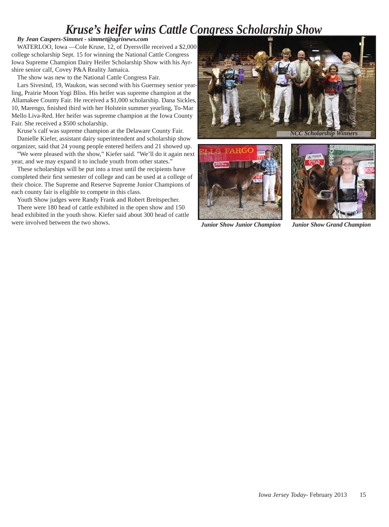### *Kruse's heifer wins Cattle Congress Scholarship Show*

#### *By Jean Caspers-Simmet - simmet@agrinews.com*

WATERLOO, Iowa —Cole Kruse, 12, of Dyersville received a \$2,000 college scholarship Sept. 15 for winning the National Cattle Congress Iowa Supreme Champion Dairy Heifer Scholarship Show with his Ayrshire senior calf, Covey P&A Reality Jamaica.

The show was new to the National Cattle Congress Fair.

Lars Sivesind, 19, Waukon, was second with his Guernsey senior yearling, Prairie Moon Yogi Bliss. His heifer was supreme champion at the Allamakee County Fair. He received a \$1,000 scholarship. Dana Sickles, 10, Marengo, finished third with her Holstein summer yearling, To-Mar Mello Liva-Red. Her heifer was supreme champion at the Iowa County Fair. She received a \$500 scholarship.

Kruse's calf was supreme champion at the Delaware County Fair. Danielle Kiefer, assistant dairy superintendent and scholarship show

organizer, said that 24 young people entered heifers and 21 showed up. "We were pleased with the show," Kiefer said. "We'll do it again next year, and we may expand it to include youth from other states."

These scholarships will be put into a trust until the recipients have completed their first semester of college and can be used at a college of their choice. The Supreme and Reserve Supreme Junior Champions of each county fair is eligible to compete in this class.

Youth Show judges were Randy Frank and Robert Breitspecher.

There were 180 head of cattle exhibited in the open show and 150 head exhibited in the youth show. Kiefer said about 300 head of cattle were involved between the two shows.<br>*Junior Show Junior Champion Junior Show Junior Show Grand Champion* 





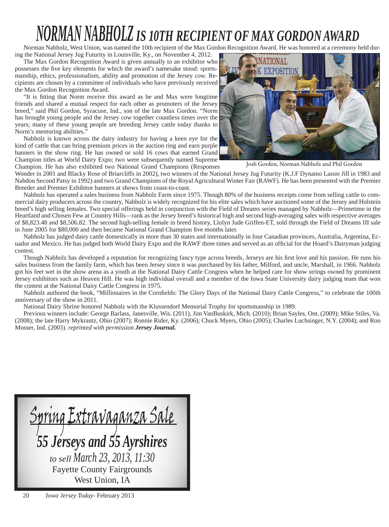## *NORMAN NABHOLZ IS 10TH RECIPIENT OF MAX GORDON AWARD*

Norman Nabholz, West Union, was named the 10th recipient of the Max Gordon Recognition Award. He was honored at a ceremony held dur-

ing the National Jersey Jug Futurity in Louisville, Ky., on November 4, 2012. The Max Gordon Recognition Award is given annually to an exhibitor who possesses the five key elements for which the award's namesake stood: sportsmanship, ethics, professionalism, ability and promotion of the Jersey cow. Recipients are chosen by a committee of individuals who have previously received the Max Gordon Recognition Award.

"It is fitting that Norm receive this award as he and Max were longtime friends and shared a mutual respect for each other as promoters of the Jersey breed," said Phil Gordon, Syracuse, Ind., son of the late Max Gordon. "Norm has brought young people and the Jersey cow together countless times over the years; many of these young people are breeding Jersey cattle today thanks to Norm's mentoring abilities."

Nabholz is known across the dairy industry for having a keen eye for the kind of cattle that can bring premium prices in the auction ring and earn purple banners in the show ring. He has owned or sold 16 cows that earned Grand Champion titles at World Dairy Expo; two were subsequently named Supreme Champion. He has also exhibited two National Grand Champions (Responses



Josh Gordon, Norman Nabholz and Phil Gordon

Wonder in 2001 and Blacky Rose of Briarcliffs in 2002), two winners of the National Jersey Jug Futurity (K.J.F Dynamo Lassie Jill in 1983 and Nabdon Second Patsy in 1992) and two Grand Champions of the Royal Agricultural Winter Fair (RAWF). He has been presented with the Premier Breeder and Premier Exhibitor banners at shows from coast-to-coast.

Nabholz has operated a sales business from Nabholz Farm since 1975. Though 80% of the business receipts come from selling cattle to commercial dairy producers across the country, Nabholz is widely recognized for his elite sales which have auctioned some of the Jersey and Holstein breed's high selling females. Two special offerings held in conjunction with the Field of Dreams series managed by Nabholz—Primetime in the Heartland and Chosen Few at Country Hills—rank as the Jersey breed's historical high and second high-averaging sales with respective averages of \$8,823.48 and \$8,506.82. The second high-selling female in breed history, Llolyn Jude Griffen-ET, sold through the Field of Dreams III sale in June 2005 for \$80,000 and then became National Grand Champion five months later.

Nabholz has judged dairy cattle domestically in more than 30 states and internationally in four Canadian provinces, Australia, Argentina, Ecuador and Mexico. He has judged both World Dairy Expo and the RAWF three times and served as an official for the Hoard's Dairyman judging contest.

Though Nabholz has developed a reputation for recognizing fancy type across breeds, Jerseys are his first love and his passion. He runs his sales business from the family farm, which has been Jersey since it was purchased by his father, Milford, and uncle, Marshall, in 1966. Nabholz got his feet wet in the show arena as a youth at the National Dairy Cattle Congress when he helped care for show strings owned by prominent Jersey exhibitors such as Heaven Hill. He was high individual overall and a member of the Iowa State University dairy judging team that won the contest at the National Dairy Cattle Congress in 1975.

Nabholz authored the book, "Millionaires in the Cornfields: The Glory Days of the National Dairy Cattle Congress," to celebrate the 100th anniversary of the show in 2011.

National Dairy Shrine honored Nabholz with the Klussendorf Memorial Trophy for sportsmanship in 1989.

Previous winners include: George Barlass, Janesville, Wis. (2011), Jim VanBuskirk, Mich. (2010); Brian Sayles, Ont. (2009); Mike Stiles, Va. (2008); the late Harry Mykrantz, Ohio (2007); Ronnie Rider, Ky. (2006); Chuck Myers, Ohio (2005); Charles Luchsinger, N.Y. (2004); and Ron Mosser, Ind. (2003). *reprinted with permission Jersey Journal.*

<u>Spring Extravaganza Sale</u> *55 Jerseys and 55 Ayrshires to sell March 23, 2013, 11:30* Fayette County Fairgrounds West Union, IA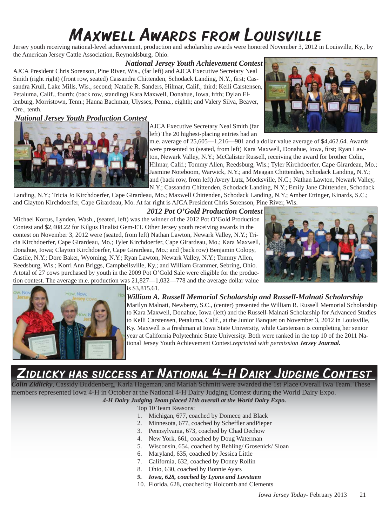## Maxwell Awards from Louisville

Jersey youth receiving national-level achievement, production and scholarship awards were honored November 3, 2012 in Louisville, Ky., by the American Jersey Cattle Association, Reynoldsburg, Ohio.

#### *National Jersey Youth Achievement Contest*

AJCA President Chris Sorenson, Pine River, Wis., (far left) and AJCA Executive Secretary Neal Smith (right right) (front row, seated) Cassandra Chittenden, Schodack Landing, N.Y., first; Cassandra Krull, Lake Mills, Wis., second; Natalie R. Sanders, Hilmar, Calif., third; Kelli Carstensen, Petaluma, Calif., fourth; (back row, standing) Kara Maxwell, Donahue, Iowa, fifth; Dylan Ellenburg, Morristown, Tenn.; Hanna Bachman, Ulysses, Penna., eighth; and Valery Silva, Beaver, Ore., tenth.

#### *National Jersey Youth Production Contest*



AJCA Executive Secretary Neal Smith (far left) The 20 highest-placing entries had an

m.e. average of 25,605—1,216—901 and a dollar value average of \$4,462.64. Awards were presented to (seated, from left) Kara Maxwell, Donahue, Iowa, first; Ryan Lawton, Newark Valley, N.Y.; McCalister Russell, receiving the award for brother Colin, Hilmar, Calif.; Tommy Allen, Reedsburg, Wis.; Tyler Kirchdoerfer, Cape Girardeau, Mo.; Jasmine Noteboom, Warwick, N.Y.; and Meagan Chittenden, Schodack Landing, N.Y.; and (back row, from left) Avery Lutz, Mocksville, N.C.; Nathan Lawton, Newark Valley, N.Y.; Cassandra Chittenden, Schodack Landing, N.Y.; Emily Jane Chittenden, Schodack

Landing, N.Y.; Tricia Jo Kirchdoerfer, Cape Girardeau, Mo.; Maxwell Chittenden, Schodack Landing, N.Y.; Amber Ettinger, Kinards, S.C.; and Clayton Kirchdoerfer, Cape Girardeau, Mo. At far right is AJCA President Chris Sorenson, Pine River, Wis.

 *2012 Pot O'Gold Production Contest*

Michael Kortus, Lynden, Wash., (seated, left) was the winner of the 2012 Pot O'Gold Production Contest and \$2,408.22 for Kilgus Finalist Gem-ET. Other Jersey youth receiving awards in the contest on November 3, 2012 were (seated, from left) Nathan Lawton, Newark Valley, N.Y.; Tricia Kirchdoerfer, Cape Girardeau, Mo.; Tyler Kirchdoerfer, Cape Girardeau, Mo.; Kara Maxwell, Donahue, Iowa; Clayton Kirchdoerfer, Cape Girardeau, Mo.; and (back row) Benjamin Colopy, Castile, N.Y.; Dore Baker, Wyoming, N.Y.; Ryan Lawton, Newark Valley, N.Y.; Tommy Allen, Reedsburg, Wis.; Korri Ann Briggs, Campbellsville, Ky.; and William Grammer, Sebring, Ohio. A total of 27 cows purchased by youth in the 2009 Pot O'Gold Sale were eligible for the production contest. The average m.e. production was 21,827—1,032—778 and the average dollar value





is \$3,815.61.

*William A. Russell Memorial Scholarship and Russell-Malnati Scholarship* Marilyn Malnati, Newberry, S.C., (center) presented the William R. Russell Memorial Scholarship to Kara Maxwell, Donahue, Iowa (left) and the Russell-Malnati Scholarship for Advanced Studies to Kelli Carstensen, Petaluma, Calif., at the Junior Banquet on November 3, 2012 in Louisville, Ky. Maxwell is a freshman at Iowa State University, while Carstensen is completing her senior year at California Polytechnic State University. Both were ranked in the top 10 of the 2011 National Jersey Youth Achievement Contest.*reprinted with permission Jersey Journal.*

### DLICKY HAS SUCCESS AT NATIONAL 4-H DAIRY JUDGING CONTEST

*Colin Zidlicky*, Cassidy Buddenberg, Karla Hageman, and Mariah Schmitt were awarded the 1st Place Overall Iwa Team. These members represented Iowa 4-H in October at the National 4-H Dairy Judging Contest during the World Dairy Expo. *4-H Dairy Judging Team placed 11th overall at the World Dairy Expo.* 

Top 10 Team Reasons:

- 1. Michigan, 677, coached by Domecq and Black
- 2. Minnesota, 677, coached by Scheffler and Pieper
- 3. Pennsylvania, 673, coached by Chad Dechow
- 4. New York, 661, coached by Doug Waterman
- 5. Wisconsin, 654, coached by Behling/ Grosenick/ Sloan
- 6. Maryland, 635, coached by Jessica Little
- 7. California, 632, coached by Donny Rollin
- 8. Ohio, 630, coached by Bonnie Ayars
- *9. Iowa, 628, coached by Lyons and Lovstuen*
- 10. Florida, 628, coached by Holcomb and Clements

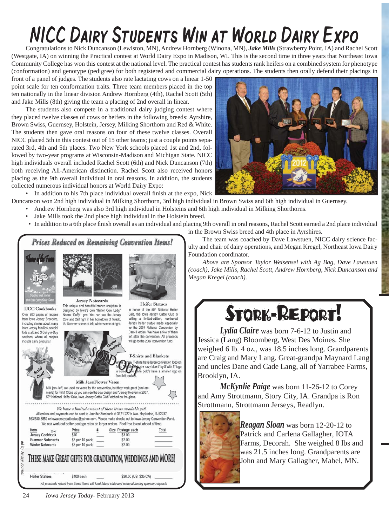## NICC Dairy Students Win at World Dairy Expo

Congratulations to Nick Duncanson (Lewiston, MN), Andrew Hornberg (Winona, MN), *Jake Mills* (Strawberry Point, IA) and Rachel Scott (Westgate, IA) on winning the Practical contest at World Dairy Expo in Madison, WI. This is the second time in three years that Northeast Iowa Community College has won this contest at the national level. The practical contest has students rank heifers on a combined system for phenotype (conformation) and genotype (pedigree) for both registered and commercial dairy operations. The students then orally defend their placings in

front of a panel of judges. The students also rate lactating cows on a linear 1-50 point scale for ten conformation traits. Three team members placed in the top ten nationally in the linear division Andrew Hornberg (4th), Rachel Scott (5th) and Jake Mills (8th) giving the team a placing of 2nd overall in linear.

The students also compete in a traditional dairy judging contest where they placed twelve classes of cows or heifers in the following breeds: Ayrshire, Brown Swiss, Guernsey, Holstein, Jersey, Milking Shorthorn and Red & White. The students then gave oral reasons on four of these twelve classes. Overall NICC placed 5th in this contest out of 15 other teams; just a couple points separated 3rd, 4th and 5th places. Two New York schools placed 1st and 2nd, followed by two-year programs at Wisconsin-Madison and Michigan State. NICC high individuals overall included Rachel Scott (6th) and Nick Duncanson (7th) both receiving All-American distinction. Rachel Scott also received honors placing as the 9th overall individual in oral reasons. In addition, the students collected numerous individual honors at World Dairy Expo:

• In addition to his 7th place individual overall finish at the expo, Nick

Duncanson won 2nd high individual in Milking Shorthorn, 3rd high individual in Brown Swiss and 6th high individual in Guernsey.

- Andrew Hornberg was also 3rd high individual in Holsteins and 6th high individual in Milking Shorthorns.
	- Jake Mills took the 2nd place high individual in the Holstein breed.
	- In addition to a 6th place finish overall as an individual and placing 9th overall in oral reasons, Rachel Scott earned a 2nd place individual



All proceeds raised from these items will fund future state and national Jersey sponsor requests

in the Brown Swiss breed and 4th place in Ayrshires. The team was coached by Dave Lawstuen, NICC dairy science fac-

ulty and chair of dairy operations, and Megan Kregel, Northeast Iowa Dairy Foundation coordinator.

*Above are Sponsor Taylor Weisensel with Ag Bag, Dave Lawstuen (coach), Jake Mills, Rachel Scott, Andrew Hornberg, Nick Duncanson and Megan Kregel (coach).*

## STORK-REPORT!

 *Lydia Claire* was born 7-6-12 to Justin and Jessica (Lang) Bloomberg, West Des Moines. She weighed 6 lb. 4 oz., was 18.5 inches long. Grandparents are Craig and Mary Lang. Great-grandpa Maynard Lang and uncles Dane and Cade Lang, all of Yarrabee Farms, Brooklyn, IA.

*McKynlie Paige* was born 11-26-12 to Corey and Amy Strottmann, Story City, IA. Grandpa is Ron Strottmann, Strottmann Jerseys, Readlyn.



*Reagan Sloan* was born 12-20-12 to Patrick and Carlena Gallagher, IOTA Farms, Decorah. She weighed 8 lbs and was 21.5 inches long. Grandparents are John and Mary Gallagher, Mabel, MN.

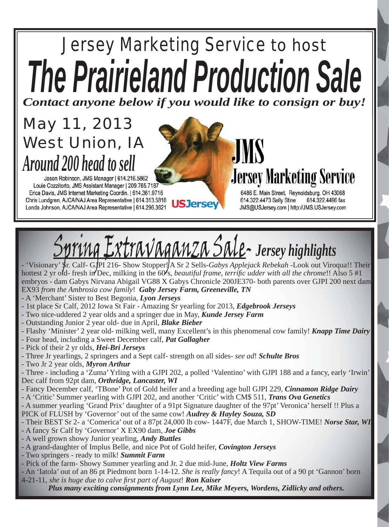# *Jersey Marketing Service to host The Prairieland Production Sale*

*Contact anyone below if you would like to consign or buy!*

## *May 11, 2013 West Union, IA Around 200 head to sell*

Jason Robinson, JMS Manager | 614.216.5862 Louie Cozzitorto, JMS Assistant Manager | 209.765.7187 Erica Davis, JMS Internet Marketing Coordin. | 614.361.9716 Chris Lundgren, AJCA/NAJ Area Representative | 614.313.5818 **USJerse** Londa Johnson, AJCA/NAJ Area Representative | 614.296.3621

**JMS Jersey Marketing Service** 

6486 E. Main Street, Reynoldsburg, OH 43068 614.322.4473 Sally Stine 614.322.4496 fax JMS@USJersey.com | http://JMS.USJersey.com

# Spring Extravaganza Sale- *Jersey highlights*

- 'Visionary' Sr. Calf- GJPI 216- Show Stopper! A Sr 2 Sells-*Gabys Applejack Rebekah* -Look out Viroqua!! Their hottest 2 yr old- fresh in Dec, milking in the 60's, *beautiful frame, terrific udder with all the chrome*!! Also 5 #1 embryos - dam Gabys Nirvana Abigail VG88 X Gabys Chronicle 200JE370- both parents over GJPI 200 next dam EX93 *from the Ambrosia cow family*! *Gaby Jersey Farm, Greeneville, TN*

- A 'Merchant' Sister to Best Begonia, *Lyon Jerseys*
- 1st place Sr Calf, 2012 Iowa St Fair Amazing Sr yearling for 2013, *Edgebrook Jerseys*
- Two nice-uddered 2 year olds and a springer due in May, *Kunde Jersey Farm*
- Outstanding Junior 2 year old- due in April, *Blake Bieber*
- Flashy 'Minister' 2 year old- milking well, many Excellent's in this phenomenal cow family! *Knapp Time Dairy*
- Four head, including a Sweet December calf, *Pat Gallagher*
- Pick of their 2 yr olds, *Hei-Bri Jerseys*
- Three Jr yearlings, 2 springers and a Sept calf- strength on all sides- *see ad*! *Schulte Bros*
- Two Jr 2 year olds, *Myron Arthur*
- Three including a 'Zuma' Yrling with a GJPI 202, a polled 'Valentino' with GJPI 188 and a fancy, early 'Irwin' Dec calf from 92pt dam, *Orthridge, Lancaster, WI*
- Fancy December calf, 'TBone' Pot of Gold heifer and a breeding age bull GJPI 229, *Cinnamon Ridge Dairy*
- A 'Critic' Summer yearling with GJPI 202, and another 'Critic' with CM\$ 511, *Trans Ova Genetics*
- A summer yearling 'Grand Prix' daughter of a 91pt Signature daughter of the 97pt' Veronica' herself !! Plus a PICK of FLUSH by 'Governor' out of the same cow! *Audrey & Hayley Souza, SD*
- Their BEST Sr 2- a 'Comerica' out of a 87pt 24,000 lb cow- 1447F, due March 1, SHOW-TIME! *Norse Star, WI*
- A fancy Sr Calf by 'Governor' X EX90 dam, *Joe Gibbs*
- A well grown showy Junior yearling, *Andy Buttles*
- A grand-daughter of Implus Belle, and nice Pot of Gold heifer, *Covington Jerseys*
- Two springers ready to milk! *Summit Farm*

26 *Iowa Jersey Today*- February 2013

- Pick of the farm- Showy Summer yearling and Jr. 2 due mid-June, *Holtz View Farms*

- An 'Iatola' out of an 86 pt Piedmont born 1-14-12. *She is really fancy*! A Tequila out of a 90 pt 'Gannon' born 4-21-11, *she is huge due to calve fi rst part of August*! *Ron Kaiser*

*Plus many exciting consignments from Lynn Lee, Mike Meyers, Wordens, Zidlicky and others.*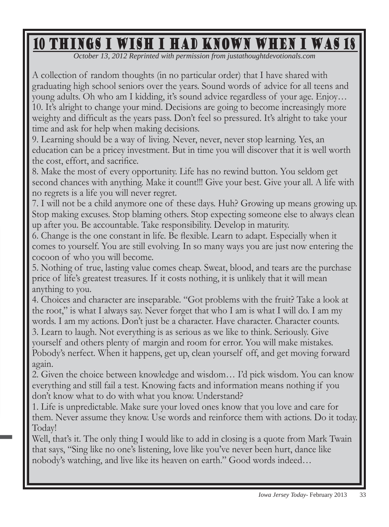## 10 Things I Wish I Had Known When I Was 18

*October 13, 2012 Reprinted with permission from justathoughtdevotionals.com*

A collection of random thoughts (in no particular order) that I have shared with graduating high school seniors over the years. Sound words of advice for all teens and young adults. Oh who am I kidding, it's sound advice regardless of your age. Enjoy… 10. It's alright to change your mind. Decisions are going to become increasingly more weighty and difficult as the years pass. Don't feel so pressured. It's alright to take your time and ask for help when making decisions.

9. Learning should be a way of living. Never, never, never stop learning. Yes, an education can be a pricey investment. But in time you will discover that it is well worth the cost, effort, and sacrifice.

8. Make the most of every opportunity. Life has no rewind button. You seldom get second chances with anything. Make it count!!! Give your best. Give your all. A life with no regrets is a life you will never regret.

7. I will not be a child anymore one of these days. Huh? Growing up means growing up. Stop making excuses. Stop blaming others. Stop expecting someone else to always clean up after you. Be accountable. Take responsibility. Develop in maturity.

6. Change is the one constant in life. Be flexible. Learn to adapt. Especially when it comes to yourself. You are still evolving. In so many ways you are just now entering the cocoon of who you will become.

5. Nothing of true, lasting value comes cheap. Sweat, blood, and tears are the purchase price of life's greatest treasures. If it costs nothing, it is unlikely that it will mean anything to you.

4. Choices and character are inseparable. "Got problems with the fruit? Take a look at the root," is what I always say. Never forget that who I am is what I will do. I am my words. I am my actions. Don't just be a character. Have character. Character counts. 3. Learn to laugh. Not everything is as serious as we like to think. Seriously. Give yourself and others plenty of margin and room for error. You will make mistakes. Pobody's nerfect. When it happens, get up, clean yourself off, and get moving forward again.

2. Given the choice between knowledge and wisdom… I'd pick wisdom. You can know everything and still fail a test. Knowing facts and information means nothing if you don't know what to do with what you know. Understand?

1. Life is unpredictable. Make sure your loved ones know that you love and care for them. Never assume they know. Use words and reinforce them with actions. Do it today. Today!

Well, that's it. The only thing I would like to add in closing is a quote from Mark Twain that says, "Sing like no one's listening, love like you've never been hurt, dance like nobody's watching, and live like its heaven on earth." Good words indeed...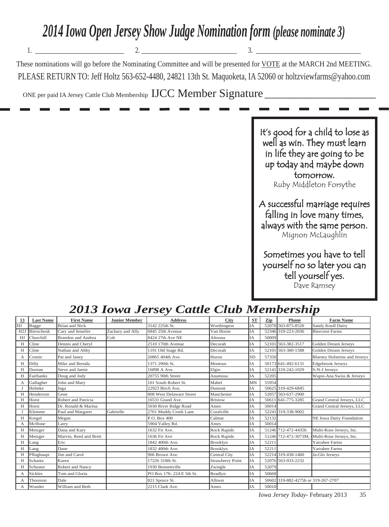## *2014 Iowa Open Jersey Show Judge Nomination form (please nominate 3)*

These nominations will go before the Nominating Committee and will be presented for VOTE at the MARCH 2nd MEETING. PLEASE RETURN TO: Jeff Holtz 563-652-4480, 24821 13th St. Maquoketa, IA 52060 or holtzviewfarms@yahoo.com

1. \_\_\_\_\_\_\_\_\_\_\_\_\_\_\_\_\_\_\_\_\_\_\_\_\_\_\_\_ 2. \_\_\_\_\_\_\_\_\_\_\_\_\_\_\_\_\_\_\_\_\_\_\_\_\_\_\_\_\_\_ 3. \_\_\_\_\_\_\_\_\_\_\_\_\_\_\_\_\_\_\_\_\_\_\_\_\_\_\_\_\_\_\_\_\_

ONE per paid IA Jersey Cattle Club Membership IJCC Member Signature

It's good for a child to lose as well as win. They must learn in life they are going to be up today and maybe down p tomorrow. Ruby Middleton Forsythe

A successful marriage requires falling in love many times, always with the same person. Mignon McLaughlin

Sometimes you have to tell yourself no so later you can tell yourself yes. Dave Ramsey

|                  |                           |                      | ັ                        |                         |           |       |       |                                                                                                                                                                                                                                                                                                                                                           |
|------------------|---------------------------|----------------------|--------------------------|-------------------------|-----------|-------|-------|-----------------------------------------------------------------------------------------------------------------------------------------------------------------------------------------------------------------------------------------------------------------------------------------------------------------------------------------------------------|
| <b>Last Name</b> | <b>First Name</b>         | <b>Junior Member</b> | <b>Address</b>           | <b>City</b>             | <b>ST</b> | Zip   | Phone | <b>Farm Name</b>                                                                                                                                                                                                                                                                                                                                          |
| <b>Bagge</b>     | <b>Brian and Nick</b>     |                      | 3142 225th St.           | Worthington             | IA        |       |       | Sandy Knoll Dairy                                                                                                                                                                                                                                                                                                                                         |
| Bierschenk       | Cary and Jennifer         | Zachary and Ally     | 6845 25th Avenue         | Van Horne               | IA        |       |       | <b>Biercrest Farms</b>                                                                                                                                                                                                                                                                                                                                    |
|                  | <b>Brandon and Andrea</b> | Colt                 | 8424 27th Ave NE         | Altoona                 | IA        | 50009 |       |                                                                                                                                                                                                                                                                                                                                                           |
| Cline            | Dennis and Cheryl         |                      | 2510 170th Avenue        | Decorah                 | IA        |       |       | Golden Dream Jerseys                                                                                                                                                                                                                                                                                                                                      |
| Cline            | Nathan and Abby           |                      | 1191 Old Stage Rd.       | Decorah                 | <b>IA</b> |       |       | Golden Dream Jerseys                                                                                                                                                                                                                                                                                                                                      |
| Cronin           | Pat and Janev             |                      | 20865 404th Ave.         | Huron                   | <b>SD</b> | 57350 |       | <b>Blarney Holsteins and Jerseys</b>                                                                                                                                                                                                                                                                                                                      |
| Dilly            | Mike and Brenda           |                      | 1371 290th St.           | Montour                 | IA        |       |       | <b>Edgebrook Jerseys</b>                                                                                                                                                                                                                                                                                                                                  |
| Durnan           | Steve and Jamie           |                      | 16898 A Ave.             | Elgin                   | <b>IA</b> |       |       | S-N-J Jerseys                                                                                                                                                                                                                                                                                                                                             |
| Fairbanks        | Doug and Jody             |                      | 20755 90th Street        | Anamosa                 | IA        | 52205 |       | Wapsi-Ana Swiss & Jerseys                                                                                                                                                                                                                                                                                                                                 |
| Gallagher        | John and Mary             |                      | 101 South Robert St.     | Mabel                   | MN        | 55954 |       |                                                                                                                                                                                                                                                                                                                                                           |
| Helmke           | Inga                      |                      | 22923 Birch Ave.         | Dumont                  | IA        |       |       |                                                                                                                                                                                                                                                                                                                                                           |
| Henderson        | Gene                      |                      | 808 West Delaware Street | Manchester              | IA        |       |       |                                                                                                                                                                                                                                                                                                                                                           |
| Horst            | Robert and Patricia       |                      | 16531 Grand Ave.         | <b>Bristow</b>          | IA        |       |       | Grand Central Jerseys, LLC                                                                                                                                                                                                                                                                                                                                |
| Horst            | Dr. Ronald & Marina       |                      | 5030 River Ridge Road    | Ames                    | IA        | 50014 |       | Grand Central Jerseys, LLC                                                                                                                                                                                                                                                                                                                                |
| Klemme           | Paul and Margaret         | Gabrielle            | 2761 Muddy Creek Lane    | Coralville              | <b>IA</b> |       |       |                                                                                                                                                                                                                                                                                                                                                           |
| Kregel           | Megan                     |                      | P.O. Box 400             | Calmar                  | <b>IA</b> | 52132 |       | NE Iowa Dairy Foundation                                                                                                                                                                                                                                                                                                                                  |
| McHone           | Larrv                     |                      | 5904 Valley Rd.          | Ames                    | IA        | 50014 |       |                                                                                                                                                                                                                                                                                                                                                           |
| Metzger          | Dana and Kary             |                      | 1632 Fir Ave.            | <b>Rock Rapids</b>      | IA        |       |       | Multi-Rose Jerseys, Inc.                                                                                                                                                                                                                                                                                                                                  |
| Metzger          | Marvin, Reed and Brett    |                      | 1636 Fir Ave             | Rock Rapids             | IA        |       |       | Multi-Rose Jerseys, Inc.                                                                                                                                                                                                                                                                                                                                  |
| Lang             | Eric                      |                      | 1842 400th Ave.          | <b>Brooklyn</b>         | <b>IA</b> | 52211 |       | Yarrabee Farms                                                                                                                                                                                                                                                                                                                                            |
| Lang             | Dane                      |                      | 1832 400th Ave.          | Brooklyn                | <b>IA</b> | 52211 |       | Yarrabee Farms                                                                                                                                                                                                                                                                                                                                            |
| Pflughaupt       | Jim and Carol             |                      | 966 Brown Ave.           | Central City            | IA        |       |       | Ja-Glo Jerseys                                                                                                                                                                                                                                                                                                                                            |
| Schantz          | Karen                     |                      | 17226 318th St.          | <b>Strawberry Point</b> | IA        |       |       |                                                                                                                                                                                                                                                                                                                                                           |
| Schuster         | Robert and Nancy          |                      | 1930 Bennettville        | Zwingle                 | IA        | 52079 |       |                                                                                                                                                                                                                                                                                                                                                           |
| <b>Sickles</b>   | Tom and Gloria            |                      | PO Box 176-224 E 5th St. | Readlyn                 | IA        | 50668 |       |                                                                                                                                                                                                                                                                                                                                                           |
|                  | Dale                      |                      | 821 Spruce St.           | Allison                 | IA        |       |       |                                                                                                                                                                                                                                                                                                                                                           |
|                  | Churchill<br>Thoreson     |                      |                          |                         |           |       |       | 52078 563-875-8520<br>52346 319-223-2036<br>52101 563-382-3517<br>52101 563-380-1588<br>50173 641-492-6131<br>52141 319-242-1029<br>50625 319-429-6845<br>52057 563-637-2900<br>50611 641-775-3285<br>52241 319-338-9002<br>51246 712-472-4435h<br>51246 712-472-3073M<br>52214 319-438-1460<br>52076 563-933-2232<br>50602 319-882-4275h or 319-267-2707 |

Wunder William and Beth 2215 Clark Ave. Ames IA 50010

*2013 Iowa Jersey Cattle Club Membership*